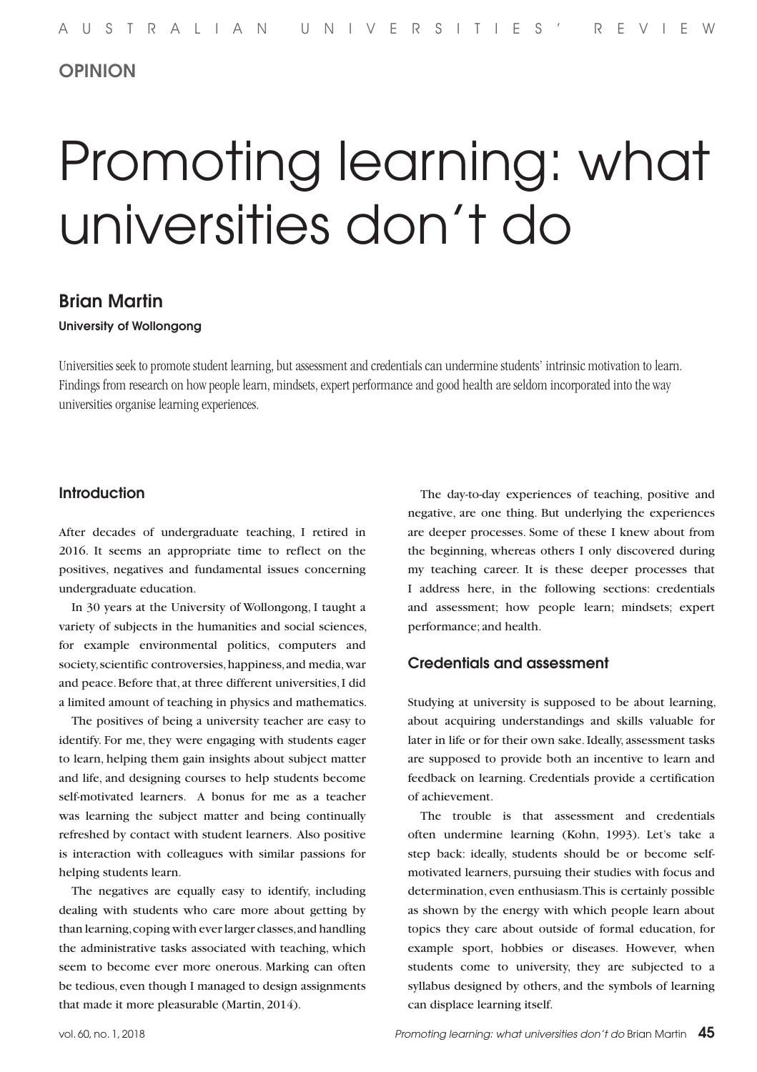# OPINION

# Promoting learning: what universities don't do

# Brian Martin

#### University of Wollongong

Universities seek to promote student learning, but assessment and credentials can undermine students' intrinsic motivation to learn. Findings from research on how people learn, mindsets, expert performance and good health are seldom incorporated into the way universities organise learning experiences.

# **Introduction**

After decades of undergraduate teaching, I retired in 2016. It seems an appropriate time to reflect on the positives, negatives and fundamental issues concerning undergraduate education.

In 30 years at the University of Wollongong, I taught a variety of subjects in the humanities and social sciences, for example environmental politics, computers and society, scientific controversies, happiness, and media, war and peace. Before that, at three different universities, I did a limited amount of teaching in physics and mathematics.

The positives of being a university teacher are easy to identify. For me, they were engaging with students eager to learn, helping them gain insights about subject matter and life, and designing courses to help students become self-motivated learners. A bonus for me as a teacher was learning the subject matter and being continually refreshed by contact with student learners. Also positive is interaction with colleagues with similar passions for helping students learn.

The negatives are equally easy to identify, including dealing with students who care more about getting by than learning, coping with ever larger classes, and handling the administrative tasks associated with teaching, which seem to become ever more onerous. Marking can often be tedious, even though I managed to design assignments that made it more pleasurable (Martin, 2014).

The day-to-day experiences of teaching, positive and negative, are one thing. But underlying the experiences are deeper processes. Some of these I knew about from the beginning, whereas others I only discovered during my teaching career. It is these deeper processes that I address here, in the following sections: credentials and assessment; how people learn; mindsets; expert performance; and health.

## Credentials and assessment

Studying at university is supposed to be about learning, about acquiring understandings and skills valuable for later in life or for their own sake. Ideally, assessment tasks are supposed to provide both an incentive to learn and feedback on learning. Credentials provide a certification of achievement.

The trouble is that assessment and credentials often undermine learning (Kohn, 1993). Let's take a step back: ideally, students should be or become selfmotivated learners, pursuing their studies with focus and determination, even enthusiasm. This is certainly possible as shown by the energy with which people learn about topics they care about outside of formal education, for example sport, hobbies or diseases. However, when students come to university, they are subjected to a syllabus designed by others, and the symbols of learning can displace learning itself.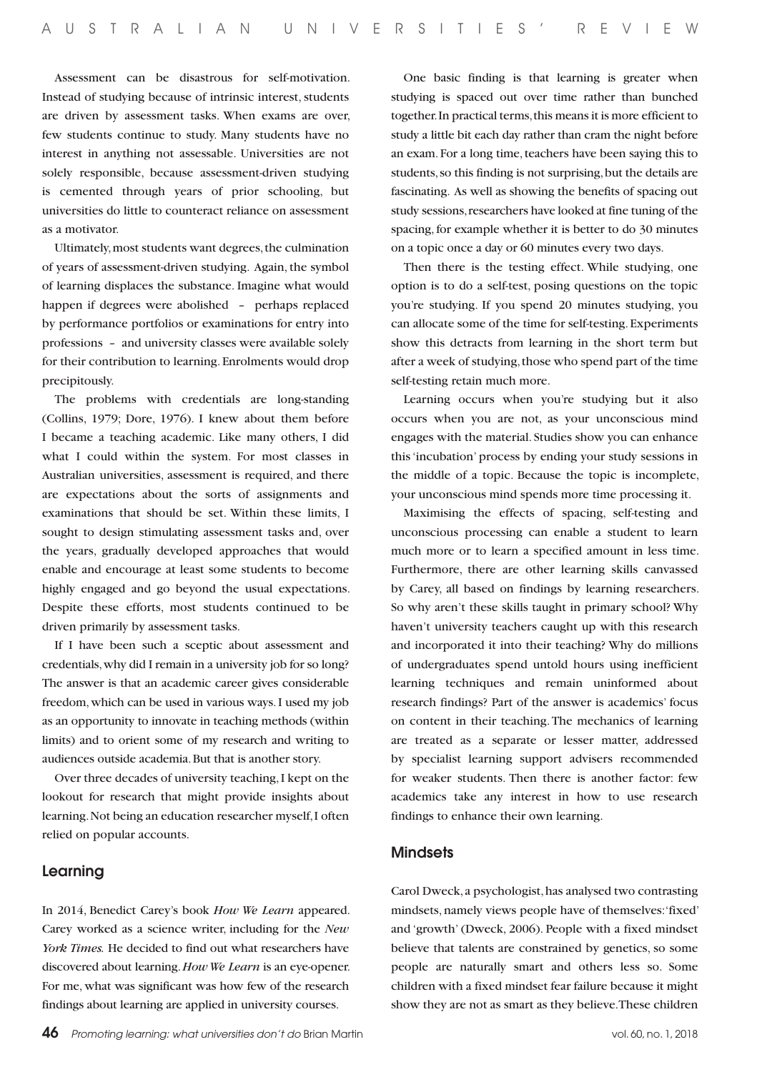Assessment can be disastrous for self-motivation. Instead of studying because of intrinsic interest, students are driven by assessment tasks. When exams are over, few students continue to study. Many students have no interest in anything not assessable. Universities are not solely responsible, because assessment-driven studying is cemented through years of prior schooling, but universities do little to counteract reliance on assessment as a motivator.

Ultimately, most students want degrees, the culmination of years of assessment-driven studying. Again, the symbol of learning displaces the substance. Imagine what would happen if degrees were abolished *–* perhaps replaced by performance portfolios or examinations for entry into professions *–* and university classes were available solely for their contribution to learning. Enrolments would drop precipitously.

The problems with credentials are long-standing (Collins, 1979; Dore, 1976). I knew about them before I became a teaching academic. Like many others, I did what I could within the system. For most classes in Australian universities, assessment is required, and there are expectations about the sorts of assignments and examinations that should be set. Within these limits, I sought to design stimulating assessment tasks and, over the years, gradually developed approaches that would enable and encourage at least some students to become highly engaged and go beyond the usual expectations. Despite these efforts, most students continued to be driven primarily by assessment tasks.

If I have been such a sceptic about assessment and credentials, why did I remain in a university job for so long? The answer is that an academic career gives considerable freedom, which can be used in various ways. I used my job as an opportunity to innovate in teaching methods (within limits) and to orient some of my research and writing to audiences outside academia. But that is another story.

Over three decades of university teaching, I kept on the lookout for research that might provide insights about learning. Not being an education researcher myself, I often relied on popular accounts.

#### Learning

In 2014, Benedict Carey's book *How We Learn* appeared. Carey worked as a science writer, including for the *New York Times.* He decided to find out what researchers have discovered about learning. *How We Learn* is an eye-opener. For me, what was significant was how few of the research findings about learning are applied in university courses.

One basic finding is that learning is greater when studying is spaced out over time rather than bunched together. In practical terms, this means it is more efficient to study a little bit each day rather than cram the night before an exam. For a long time, teachers have been saying this to students, so this finding is not surprising, but the details are fascinating. As well as showing the benefits of spacing out study sessions, researchers have looked at fine tuning of the spacing, for example whether it is better to do 30 minutes on a topic once a day or 60 minutes every two days.

Then there is the testing effect. While studying, one option is to do a self-test, posing questions on the topic you're studying. If you spend 20 minutes studying, you can allocate some of the time for self-testing. Experiments show this detracts from learning in the short term but after a week of studying, those who spend part of the time self-testing retain much more.

Learning occurs when you're studying but it also occurs when you are not, as your unconscious mind engages with the material. Studies show you can enhance this 'incubation' process by ending your study sessions in the middle of a topic. Because the topic is incomplete, your unconscious mind spends more time processing it.

Maximising the effects of spacing, self-testing and unconscious processing can enable a student to learn much more or to learn a specified amount in less time. Furthermore, there are other learning skills canvassed by Carey, all based on findings by learning researchers. So why aren't these skills taught in primary school? Why haven't university teachers caught up with this research and incorporated it into their teaching? Why do millions of undergraduates spend untold hours using inefficient learning techniques and remain uninformed about research findings? Part of the answer is academics' focus on content in their teaching. The mechanics of learning are treated as a separate or lesser matter, addressed by specialist learning support advisers recommended for weaker students. Then there is another factor: few academics take any interest in how to use research findings to enhance their own learning.

#### **Mindsets**

Carol Dweck, a psychologist, has analysed two contrasting mindsets, namely views people have of themselves: 'fixed' and 'growth' (Dweck, 2006). People with a fixed mindset believe that talents are constrained by genetics, so some people are naturally smart and others less so. Some children with a fixed mindset fear failure because it might show they are not as smart as they believe. These children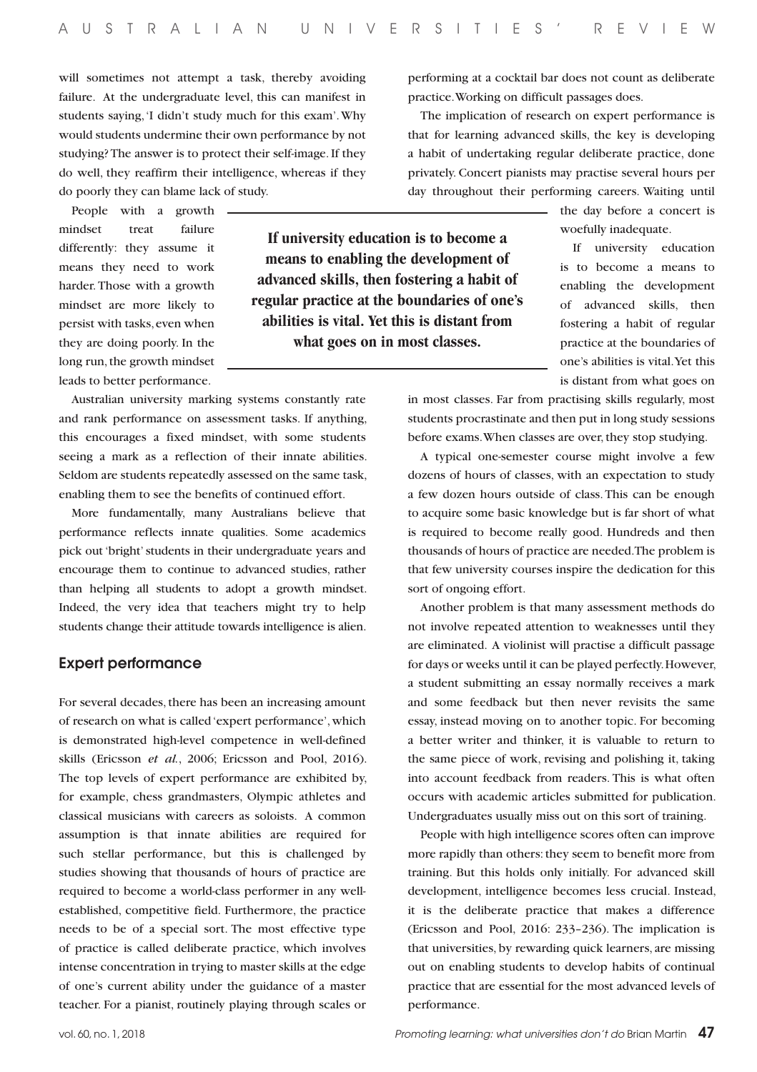**If university education is to become a means to enabling the development of advanced skills, then fostering a habit of regular practice at the boundaries of one's abilities is vital. Yet this is distant from what goes on in most classes.** 

will sometimes not attempt a task, thereby avoiding failure. At the undergraduate level, this can manifest in students saying, 'I didn't study much for this exam'. Why would students undermine their own performance by not studying? The answer is to protect their self-image. If they do well, they reaffirm their intelligence, whereas if they do poorly they can blame lack of study.

People with a growth mindset treat failure differently: they assume it means they need to work harder. Those with a growth mindset are more likely to persist with tasks, even when they are doing poorly. In the long run, the growth mindset leads to better performance.

Australian university marking systems constantly rate and rank performance on assessment tasks. If anything, this encourages a fixed mindset, with some students seeing a mark as a reflection of their innate abilities. Seldom are students repeatedly assessed on the same task, enabling them to see the benefits of continued effort.

More fundamentally, many Australians believe that performance reflects innate qualities. Some academics pick out 'bright' students in their undergraduate years and encourage them to continue to advanced studies, rather than helping all students to adopt a growth mindset. Indeed, the very idea that teachers might try to help students change their attitude towards intelligence is alien.

#### Expert performance

For several decades, there has been an increasing amount of research on what is called 'expert performance', which is demonstrated high-level competence in well-defined skills (Ericsson *et al.*, 2006; Ericsson and Pool, 2016). The top levels of expert performance are exhibited by, for example, chess grandmasters, Olympic athletes and classical musicians with careers as soloists. A common assumption is that innate abilities are required for such stellar performance, but this is challenged by studies showing that thousands of hours of practice are required to become a world-class performer in any wellestablished, competitive field. Furthermore, the practice needs to be of a special sort. The most effective type of practice is called deliberate practice, which involves intense concentration in trying to master skills at the edge of one's current ability under the guidance of a master teacher. For a pianist, routinely playing through scales or performing at a cocktail bar does not count as deliberate practice. Working on difficult passages does.

The implication of research on expert performance is that for learning advanced skills, the key is developing a habit of undertaking regular deliberate practice, done privately. Concert pianists may practise several hours per day throughout their performing careers. Waiting until

> the day before a concert is woefully inadequate.

> If university education is to become a means to enabling the development of advanced skills, then fostering a habit of regular practice at the boundaries of one's abilities is vital. Yet this is distant from what goes on

in most classes. Far from practising skills regularly, most students procrastinate and then put in long study sessions before exams. When classes are over, they stop studying.

A typical one-semester course might involve a few dozens of hours of classes, with an expectation to study a few dozen hours outside of class. This can be enough to acquire some basic knowledge but is far short of what is required to become really good. Hundreds and then thousands of hours of practice are needed. The problem is that few university courses inspire the dedication for this sort of ongoing effort.

Another problem is that many assessment methods do not involve repeated attention to weaknesses until they are eliminated. A violinist will practise a difficult passage for days or weeks until it can be played perfectly. However, a student submitting an essay normally receives a mark and some feedback but then never revisits the same essay, instead moving on to another topic. For becoming a better writer and thinker, it is valuable to return to the same piece of work, revising and polishing it, taking into account feedback from readers. This is what often occurs with academic articles submitted for publication. Undergraduates usually miss out on this sort of training.

People with high intelligence scores often can improve more rapidly than others: they seem to benefit more from training. But this holds only initially. For advanced skill development, intelligence becomes less crucial. Instead, it is the deliberate practice that makes a difference (Ericsson and Pool, 2016: 233–236). The implication is that universities, by rewarding quick learners, are missing out on enabling students to develop habits of continual practice that are essential for the most advanced levels of performance.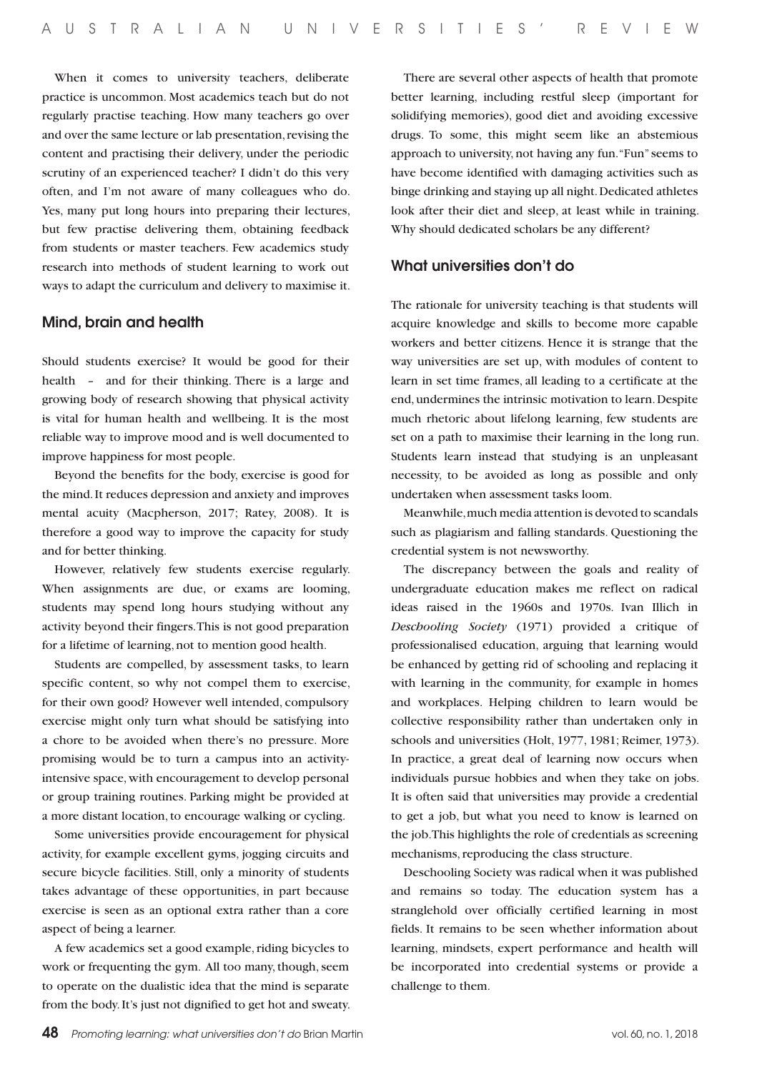When it comes to university teachers, deliberate practice is uncommon. Most academics teach but do not regularly practise teaching. How many teachers go over and over the same lecture or lab presentation, revising the content and practising their delivery, under the periodic scrutiny of an experienced teacher? I didn't do this very often, and I'm not aware of many colleagues who do. Yes, many put long hours into preparing their lectures, but few practise delivering them, obtaining feedback from students or master teachers. Few academics study research into methods of student learning to work out ways to adapt the curriculum and delivery to maximise it.

#### Mind, brain and health

Should students exercise? It would be good for their health *–* and for their thinking. There is a large and growing body of research showing that physical activity is vital for human health and wellbeing. It is the most reliable way to improve mood and is well documented to improve happiness for most people.

Beyond the benefits for the body, exercise is good for the mind. It reduces depression and anxiety and improves mental acuity (Macpherson, 2017; Ratey, 2008). It is therefore a good way to improve the capacity for study and for better thinking.

However, relatively few students exercise regularly. When assignments are due, or exams are looming, students may spend long hours studying without any activity beyond their fingers. This is not good preparation for a lifetime of learning, not to mention good health.

Students are compelled, by assessment tasks, to learn specific content, so why not compel them to exercise, for their own good? However well intended, compulsory exercise might only turn what should be satisfying into a chore to be avoided when there's no pressure. More promising would be to turn a campus into an activityintensive space, with encouragement to develop personal or group training routines. Parking might be provided at a more distant location, to encourage walking or cycling.

Some universities provide encouragement for physical activity, for example excellent gyms, jogging circuits and secure bicycle facilities. Still, only a minority of students takes advantage of these opportunities, in part because exercise is seen as an optional extra rather than a core aspect of being a learner.

A few academics set a good example, riding bicycles to work or frequenting the gym. All too many, though, seem to operate on the dualistic idea that the mind is separate from the body. It's just not dignified to get hot and sweaty.

There are several other aspects of health that promote better learning, including restful sleep (important for solidifying memories), good diet and avoiding excessive drugs. To some, this might seem like an abstemious approach to university, not having any fun. "Fun" seems to have become identified with damaging activities such as binge drinking and staying up all night. Dedicated athletes look after their diet and sleep, at least while in training. Why should dedicated scholars be any different?

### What universities don't do

The rationale for university teaching is that students will acquire knowledge and skills to become more capable workers and better citizens. Hence it is strange that the way universities are set up, with modules of content to learn in set time frames, all leading to a certificate at the end, undermines the intrinsic motivation to learn. Despite much rhetoric about lifelong learning, few students are set on a path to maximise their learning in the long run. Students learn instead that studying is an unpleasant necessity, to be avoided as long as possible and only undertaken when assessment tasks loom.

Meanwhile, much media attention is devoted to scandals such as plagiarism and falling standards. Questioning the credential system is not newsworthy.

The discrepancy between the goals and reality of undergraduate education makes me reflect on radical ideas raised in the 1960s and 1970s. Ivan Illich in *Deschooling Society* (1971) provided a critique of professionalised education, arguing that learning would be enhanced by getting rid of schooling and replacing it with learning in the community, for example in homes and workplaces. Helping children to learn would be collective responsibility rather than undertaken only in schools and universities (Holt, 1977, 1981; Reimer, 1973). In practice, a great deal of learning now occurs when individuals pursue hobbies and when they take on jobs. It is often said that universities may provide a credential to get a job, but what you need to know is learned on the job. This highlights the role of credentials as screening mechanisms, reproducing the class structure.

Deschooling Society was radical when it was published and remains so today. The education system has a stranglehold over officially certified learning in most fields. It remains to be seen whether information about learning, mindsets, expert performance and health will be incorporated into credential systems or provide a challenge to them.